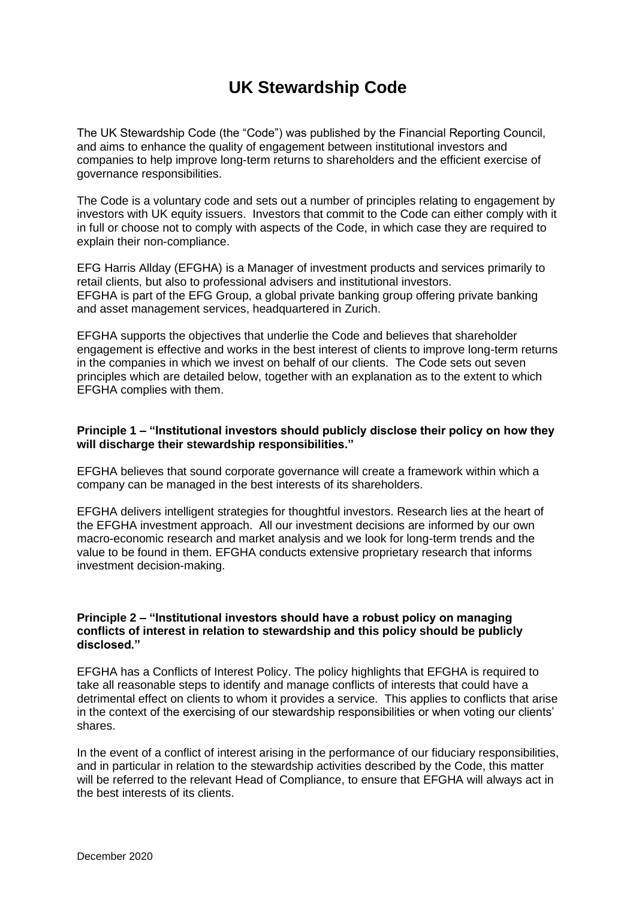# **UK Stewardship Code**

The UK Stewardship Code (the "Code") was published by the Financial Reporting Council, and aims to enhance the quality of engagement between institutional investors and companies to help improve long-term returns to shareholders and the efficient exercise of governance responsibilities.

The Code is a voluntary code and sets out a number of principles relating to engagement by investors with UK equity issuers. Investors that commit to the Code can either comply with it in full or choose not to comply with aspects of the Code, in which case they are required to explain their non-compliance.

EFG Harris Allday (EFGHA) is a Manager of investment products and services primarily to retail clients, but also to professional advisers and institutional investors. EFGHA is part of the EFG Group, a global private banking group offering private banking and asset management services, headquartered in Zurich.

EFGHA supports the objectives that underlie the Code and believes that shareholder engagement is effective and works in the best interest of clients to improve long-term returns in the companies in which we invest on behalf of our clients. The Code sets out seven principles which are detailed below, together with an explanation as to the extent to which EFGHA complies with them.

## **Principle 1 – "Institutional investors should publicly disclose their policy on how they will discharge their stewardship responsibilities."**

EFGHA believes that sound corporate governance will create a framework within which a company can be managed in the best interests of its shareholders.

EFGHA delivers intelligent strategies for thoughtful investors. Research lies at the heart of the EFGHA investment approach. All our investment decisions are informed by our own macro-economic research and market analysis and we look for long-term trends and the value to be found in them. EFGHA conducts extensive proprietary research that informs investment decision-making.

#### **Principle 2 – "Institutional investors should have a robust policy on managing conflicts of interest in relation to stewardship and this policy should be publicly disclosed."**

EFGHA has a Conflicts of Interest Policy. The policy highlights that EFGHA is required to take all reasonable steps to identify and manage conflicts of interests that could have a detrimental effect on clients to whom it provides a service. This applies to conflicts that arise in the context of the exercising of our stewardship responsibilities or when voting our clients' shares.

In the event of a conflict of interest arising in the performance of our fiduciary responsibilities, and in particular in relation to the stewardship activities described by the Code, this matter will be referred to the relevant Head of Compliance, to ensure that EFGHA will always act in the best interests of its clients.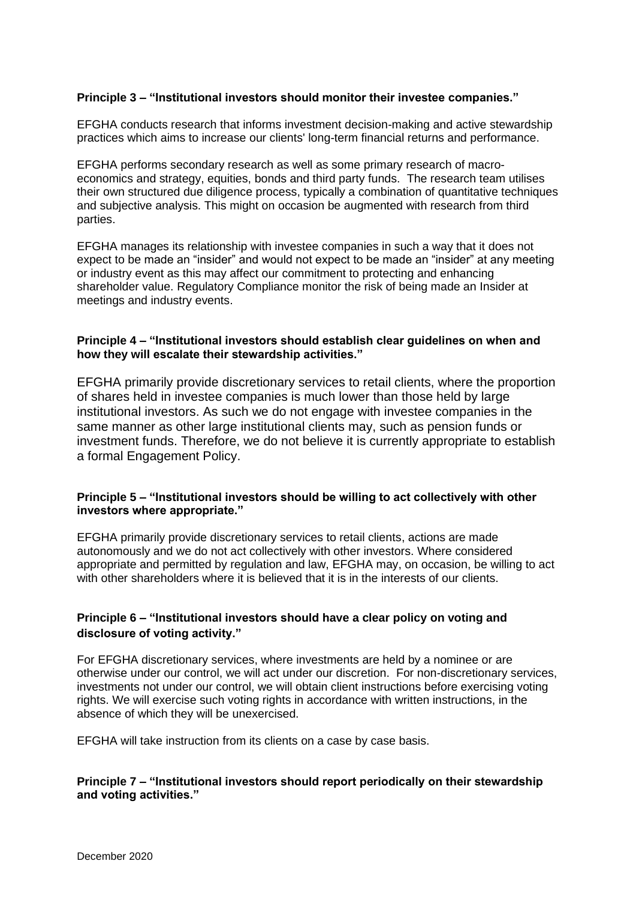## **Principle 3 – "Institutional investors should monitor their investee companies."**

EFGHA conducts research that informs investment decision-making and active stewardship practices which aims to increase our clients' long-term financial returns and performance.

EFGHA performs secondary research as well as some primary research of macroeconomics and strategy, equities, bonds and third party funds. The research team utilises their own structured due diligence process, typically a combination of quantitative techniques and subjective analysis. This might on occasion be augmented with research from third parties.

EFGHA manages its relationship with investee companies in such a way that it does not expect to be made an "insider" and would not expect to be made an "insider" at any meeting or industry event as this may affect our commitment to protecting and enhancing shareholder value. Regulatory Compliance monitor the risk of being made an Insider at meetings and industry events.

### **Principle 4 – "Institutional investors should establish clear guidelines on when and how they will escalate their stewardship activities."**

EFGHA primarily provide discretionary services to retail clients, where the proportion of shares held in investee companies is much lower than those held by large institutional investors. As such we do not engage with investee companies in the same manner as other large institutional clients may, such as pension funds or investment funds. Therefore, we do not believe it is currently appropriate to establish a formal Engagement Policy.

### **Principle 5 – "Institutional investors should be willing to act collectively with other investors where appropriate."**

EFGHA primarily provide discretionary services to retail clients, actions are made autonomously and we do not act collectively with other investors. Where considered appropriate and permitted by regulation and law, EFGHA may, on occasion, be willing to act with other shareholders where it is believed that it is in the interests of our clients.

## **Principle 6 – "Institutional investors should have a clear policy on voting and disclosure of voting activity."**

For EFGHA discretionary services, where investments are held by a nominee or are otherwise under our control, we will act under our discretion. For non-discretionary services, investments not under our control, we will obtain client instructions before exercising voting rights. We will exercise such voting rights in accordance with written instructions, in the absence of which they will be unexercised.

EFGHA will take instruction from its clients on a case by case basis.

### **Principle 7 – "Institutional investors should report periodically on their stewardship and voting activities."**